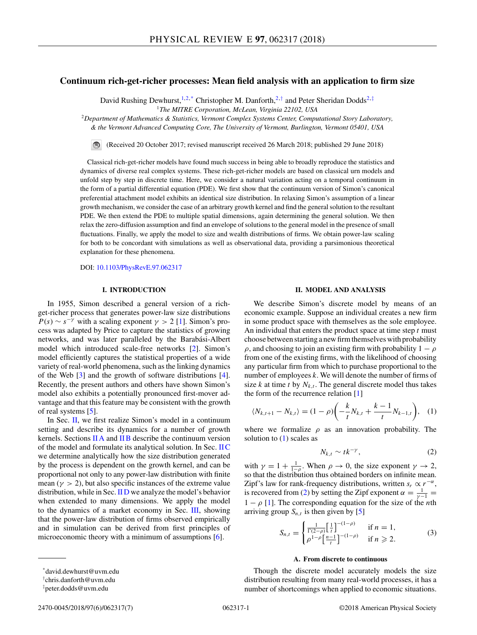# <span id="page-0-0"></span>**Continuum rich-get-richer processes: Mean field analysis with an application to firm size**

David Rushing Dewhurst,<sup>1,2,\*</sup> Christopher M. Danforth,<sup>2,†</sup> and Peter Sheridan Dodds<sup>2,‡</sup>

<sup>1</sup>*The MITRE Corporation, McLean, Virginia 22102, USA*

<sup>2</sup>*Department of Mathematics & Statistics, Vermont Complex Systems Center, Computational Story Laboratory, & the Vermont Advanced Computing Core, The University of Vermont, Burlington, Vermont 05401, USA*

(Received 20 October 2017; revised manuscript received 26 March 2018; published 29 June 2018)

Classical rich-get-richer models have found much success in being able to broadly reproduce the statistics and dynamics of diverse real complex systems. These rich-get-richer models are based on classical urn models and unfold step by step in discrete time. Here, we consider a natural variation acting on a temporal continuum in the form of a partial differential equation (PDE). We first show that the continuum version of Simon's canonical preferential attachment model exhibits an identical size distribution. In relaxing Simon's assumption of a linear growth mechanism, we consider the case of an arbitrary growth kernel and find the general solution to the resultant PDE. We then extend the PDE to multiple spatial dimensions, again determining the general solution. We then relax the zero-diffusion assumption and find an envelope of solutions to the general model in the presence of small fluctuations. Finally, we apply the model to size and wealth distributions of firms. We obtain power-law scaling for both to be concordant with simulations as well as observational data, providing a parsimonious theoretical explanation for these phenomena.

DOI: [10.1103/PhysRevE.97.062317](https://doi.org/10.1103/PhysRevE.97.062317)

## **I. INTRODUCTION**

In 1955, Simon described a general version of a richget-richer process that generates power-law size distributions  $P(s) \sim s^{-\gamma}$  with a scaling exponent  $\gamma > 2$  [\[1\]](#page-5-0). Simon's process was adapted by Price to capture the statistics of growing networks, and was later paralleled by the Barabási-Albert model which introduced scale-free networks [\[2\]](#page-5-0). Simon's model efficiently captures the statistical properties of a wide variety of real-world phenomena, such as the linking dynamics of the Web [\[3\]](#page-5-0) and the growth of software distributions [\[4\]](#page-5-0). Recently, the present authors and others have shown Simon's model also exhibits a potentially pronounced first-mover advantage and that this feature may be consistent with the growth of real systems [\[5\]](#page-5-0).

In Sec. II, we first realize Simon's model in a continuum setting and describe its dynamics for a number of growth kernels. Sections IIA and [IIB](#page-1-0) describe the continuum version of the model and formulate its analytical solution. In Sec. [IIC](#page-1-0) we determine analytically how the size distribution generated by the process is dependent on the growth kernel, and can be proportional not only to any power-law distribution with finite mean  $(\gamma > 2)$ , but also specific instances of the extreme value distribution, while in Sec. [II D](#page-2-0) we analyze the model's behavior when extended to many dimensions. We apply the model to the dynamics of a market economy in Sec. [III,](#page-4-0) showing that the power-law distribution of firms observed empirically and in simulation can be derived from first principles of microeconomic theory with a minimum of assumptions [\[6\]](#page-5-0).

**II. MODEL AND ANALYSIS**

We describe Simon's discrete model by means of an economic example. Suppose an individual creates a new firm in some product space with themselves as the sole employee. An individual that enters the product space at time step *t* must choose between starting a new firm themselves with probability  $\rho$ , and choosing to join an existing firm with probability  $1 - \rho$ from one of the existing firms, with the likelihood of choosing any particular firm from which to purchase proportional to the number of employees *k*. We will denote the number of firms of size  $k$  at time  $t$  by  $N_{k,t}$ . The general discrete model thus takes the form of the recurrence relation [\[1\]](#page-5-0)

$$
\langle N_{k,t+1} - N_{k,t} \rangle = (1 - \rho) \left( -\frac{k}{t} N_{k,t} + \frac{k-1}{t} N_{k-1,t} \right), \quad (1)
$$

where we formalize  $\rho$  as an innovation probability. The solution to (1) scales as

$$
N_{k,t} \sim tk^{-\gamma},\tag{2}
$$

with  $\gamma = 1 + \frac{1}{1-\rho}$ . When  $\rho \to 0$ , the size exponent  $\gamma \to 2$ , so that the distribution thus obtained borders on infinite mean. Zipf's law for rank-frequency distributions, written  $s_r \propto r^{-\alpha}$ , is recovered from (2) by setting the Zipf exponent  $\alpha = \frac{1}{\gamma - 1}$  $1 - \rho$  [\[1\]](#page-5-0). The corresponding equation for the size of the *n*th arriving group  $S_{n,t}$  is then given by [\[5\]](#page-5-0)

$$
S_{n,t} = \begin{cases} \frac{1}{\Gamma(2-\rho)} \left[ \frac{1}{t} \right]^{-(1-\rho)} & \text{if } n = 1, \\ \rho^{1-\rho} \left[ \frac{n-1}{t} \right]^{-(1-\rho)} & \text{if } n \ge 2. \end{cases}
$$
 (3)

## **A. From discrete to continuous**

Though the discrete model accurately models the size distribution resulting from many real-world processes, it has a number of shortcomings when applied to economic situations.

<sup>\*</sup>david.dewhurst@uvm.edu

*<sup>†</sup>* chris.danforth@uvm.edu

*<sup>‡</sup>* peter.dodds@uvm.edu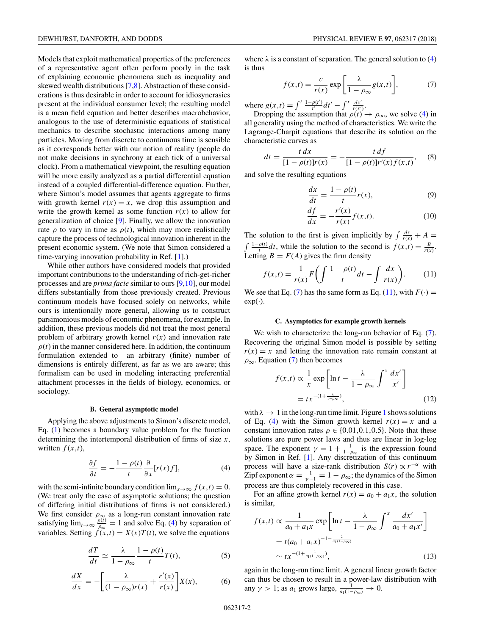<span id="page-1-0"></span>Models that exploit mathematical properties of the preferences of a representative agent often perform poorly in the task of explaining economic phenomena such as inequality and skewed wealth distributions [\[7,8\]](#page-5-0). Abstraction of these considerations is thus desirable in order to account for idiosyncrasies present at the individual consumer level; the resulting model is a mean field equation and better describes macrobehavior, analogous to the use of deterministic equations of statistical mechanics to describe stochastic interactions among many particles. Moving from discrete to continuous time is sensible as it corresponds better with our notion of reality (people do not make decisions in synchrony at each tick of a universal clock). From a mathematical viewpoint, the resulting equation will be more easily analyzed as a partial differential equation instead of a coupled differential-difference equation. Further, where Simon's model assumes that agents aggregate to firms with growth kernel  $r(x) = x$ , we drop this assumption and write the growth kernel as some function  $r(x)$  to allow for generalization of choice [\[9\]](#page-5-0). Finally, we allow the innovation rate  $\rho$  to vary in time as  $\rho(t)$ , which may more realistically capture the process of technological innovation inherent in the present economic system. (We note that Simon considered a time-varying innovation probability in Ref. [\[1\]](#page-5-0).)

While other authors have considered models that provided important contributions to the understanding of rich-get-richer processes and are *prima facie* similar to ours [\[9,10\]](#page-5-0), our model differs substantially from those previously created. Previous continuum models have focused solely on networks, while ours is intentionally more general, allowing us to construct parsimonious models of economic phenomena, for example. In addition, these previous models did not treat the most general problem of arbitrary growth kernel  $r(x)$  and innovation rate  $\rho(t)$  in the manner considered here. In addition, the continuum formulation extended to an arbitrary (finite) number of dimensions is entirely different, as far as we are aware; this formalism can be used in modeling interacting preferential attachment processes in the fields of biology, economics, or sociology.

#### **B. General asymptotic model**

Applying the above adjustments to Simon's discrete model, Eq. [\(1\)](#page-0-0) becomes a boundary value problem for the function determining the intertemporal distribution of firms of size *x*, written  $f(x,t)$ ,

$$
\frac{\partial f}{\partial t} = -\frac{1 - \rho(t)}{t} \frac{\partial}{\partial x} [r(x)f],\tag{4}
$$

with the semi-infinite boundary condition  $\lim_{x\to\infty} f(x,t) = 0$ . (We treat only the case of asymptotic solutions; the question of differing initial distributions of firms is not considered.) We first consider  $\rho_{\infty}$  as a long-run constant innovation rate satisfying  $\lim_{t\to\infty} \frac{\rho(t)}{\rho_{\infty}} = 1$  and solve Eq. (4) by separation of variables. Setting  $\hat{f}(x,t) = X(x)T(t)$ , we solve the equations

$$
\frac{dT}{dt} \simeq \frac{\lambda}{1 - \rho_{\infty}} \frac{1 - \rho(t)}{t} T(t),\tag{5}
$$

$$
\frac{dX}{dx} = -\left[\frac{\lambda}{(1 - \rho_{\infty})r(x)} + \frac{r'(x)}{r(x)}\right]X(x),\tag{6}
$$

where  $\lambda$  is a constant of separation. The general solution to (4) is thus

$$
f(x,t) = \frac{c}{r(x)} \exp\left[\frac{\lambda}{1 - \rho_{\infty}} g(x,t)\right],\tag{7}
$$

where  $g(x,t) = \int_0^t \frac{1-\rho(t')}{t'} dt' - \int_0^x \frac{dx'}{r(x')}$ .

Dropping the assumption that  $\rho(t) \to \rho_{\infty}$ , we solve (4) in all generality using the method of characteristics. We write the Lagrange-Charpit equations that describe its solution on the characteristic curves as

$$
dt = \frac{t \, dx}{[1 - \rho(t)]r(x)} = -\frac{t \, df}{[1 - \rho(t)]r'(x)f(x, t)}, \quad (8)
$$

and solve the resulting equations

$$
\frac{dx}{dt} = \frac{1 - \rho(t)}{t} r(x),\tag{9}
$$

$$
\frac{df}{dx} = -\frac{r'(x)}{r(x)}f(x,t).
$$
\n(10)

The solution to the first is given implicitly by  $\int \frac{dx}{r(x)} + A =$ The solution to the first is given implicitly by  $\int \frac{dx}{r(x)} + A = \int \frac{1-\rho(t)}{t} dt$ , while the solution to the second is  $f(x,t) = \frac{B}{r(x)}$ . Letting  $B = F(A)$  gives the firm density

$$
f(x,t) = \frac{1}{r(x)} F\bigg(\int \frac{1-\rho(t)}{t} dt - \int \frac{dx}{r(x)}\bigg). \tag{11}
$$

We see that Eq. (7) has the same form as Eq. (11), with  $F(\cdot)$  =  $exp(·)$ .

### **C. Asymptotics for example growth kernels**

We wish to characterize the long-run behavior of Eq.  $(7)$ . Recovering the original Simon model is possible by setting  $r(x) = x$  and letting the innovation rate remain constant at  $\rho_{\infty}$ . Equation (7) then becomes

$$
f(x,t) \propto \frac{1}{x} \exp\left[\ln t - \frac{\lambda}{1 - \rho_{\infty}} \int^{x} \frac{dx'}{x'}\right]
$$

$$
= tx^{-(1 + \frac{\lambda}{1 - \rho_{\infty}})},
$$
(12)

with  $\lambda \rightarrow 1$  $\lambda \rightarrow 1$  in the long-run time limit. Figure 1 shows solutions of Eq. (4) with the Simon growth kernel  $r(x) = x$  and a constant innovation rates  $\rho \in \{0.01, 0.1, 0.5\}$ . Note that these solutions are pure power laws and thus are linear in log-log space. The exponent  $\gamma = 1 + \frac{1}{1-\rho_{\infty}}$  is the expression found by Simon in Ref. [\[1\]](#page-5-0). Any discretization of this continuum process will have a size-rank distribution  $S(r) \propto r^{-\alpha}$  with Zipf exponent  $\alpha = \frac{1}{\gamma - 1} = 1 - \rho_{\infty}$ ; the dynamics of the Simon process are thus completely recovered in this case.

For an affine growth kernel  $r(x) = a_0 + a_1x$ , the solution is similar,

$$
f(x,t) \propto \frac{1}{a_0 + a_1 x} \exp\left[\ln t - \frac{\lambda}{1 - \rho_{\infty}} \int^x \frac{dx'}{a_0 + a_1 x'}\right]
$$
  
=  $t(a_0 + a_1 x)^{-1 - \frac{\lambda}{a_1(1 - \rho_{\infty})}}$   
 $\sim tx^{-(1 + \frac{1}{a_1(1 - \rho_{\infty})})},$  (13)

again in the long-run time limit. A general linear growth factor can thus be chosen to result in a power-law distribution with any  $\gamma > 1$ ; as  $a_1$  grows large,  $\frac{1}{a_1(1-\rho_{\infty})} \to 0$ .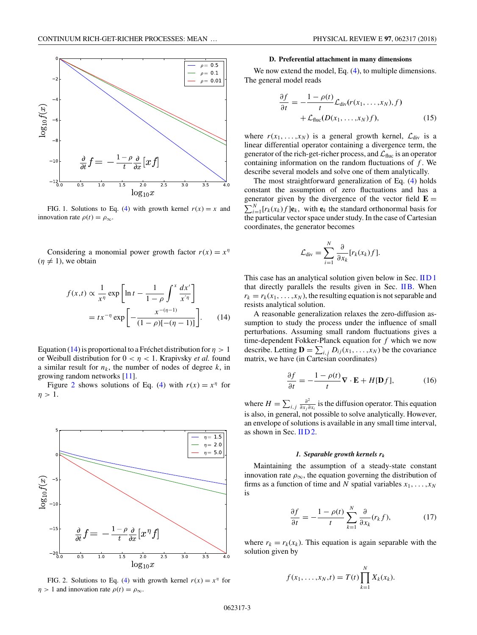<span id="page-2-0"></span>

FIG. 1. Solutions to Eq. [\(4\)](#page-1-0) with growth kernel  $r(x) = x$  and innovation rate  $\rho(t) = \rho_{\infty}$ .

Considering a monomial power growth factor  $r(x) = x^{\eta}$  $(\eta \neq 1)$ , we obtain

$$
f(x,t) \propto \frac{1}{x^{\eta}} \exp\left[\ln t - \frac{1}{1-\rho} \int^{x} \frac{dx'}{x'^{\eta}}\right]
$$

$$
= tx^{-\eta} \exp\left[-\frac{x^{-(\eta-1)}}{(1-\rho)[-(\eta-1)]}\right].
$$
 (14)

Equation (14) is proportional to a Fréchet distribution for  $\eta > 1$ or Weibull distribution for  $0 < \eta < 1$ . Krapivsky *et al.* found a similar result for  $n_k$ , the number of nodes of degree  $k$ , in growing random networks [\[11\]](#page-5-0).

Figure 2 shows solutions of Eq. [\(4\)](#page-1-0) with  $r(x) = x^{\eta}$  for  $\eta > 1$ .



FIG. 2. Solutions to Eq. [\(4\)](#page-1-0) with growth kernel  $r(x) = x^{\eta}$  for  $\eta > 1$  and innovation rate  $\rho(t) = \rho_{\infty}$ .

#### **D. Preferential attachment in many dimensions**

We now extend the model, Eq.  $(4)$ , to multiple dimensions. The general model reads

$$
\frac{\partial f}{\partial t} = -\frac{1 - \rho(t)}{t} \mathcal{L}_{div}(r(x_1, \dots, x_N), f) \n+ \mathcal{L}_{fluc}(D(x_1, \dots, x_N)f),
$$
\n(15)

where  $r(x_1, \ldots, x_N)$  is a general growth kernel,  $\mathcal{L}_{div}$  is a linear differential operator containing a divergence term, the generator of the rich-get-richer process, and  $\mathcal{L}_{\text{fluc}}$  is an operator containing information on the random fluctuations of *f* . We describe several models and solve one of them analytically.

The most straightforward generalization of Eq. [\(4\)](#page-1-0) holds constant the assumption of zero fluctuations and has a generator given by the divergence of the vector field  $\mathbf{E} = \nabla^N \cdot \mathbf{F}(\mathbf{x})$  for (x) flat with a the standard orthonormal basis for  $\sum_{i=1}^{N} [r_k(x_k)f] \mathbf{e}_k$ , with  $\mathbf{e}_k$  the standard orthonormal basis for the particular vector space under study. In the case of Cartesian coordinates, the generator becomes

$$
\mathcal{L}_{div} = \sum_{i=1}^N \frac{\partial}{\partial x_k} [r_k(x_k)f].
$$

This case has an analytical solution given below in Sec. IID 1 that directly parallels the results given in Sec. [IIB.](#page-1-0) When  $r_k = r_k(x_1, \ldots, x_N)$ , the resulting equation is not separable and resists analytical solution.

A reasonable generalization relaxes the zero-diffusion assumption to study the process under the influence of small perturbations. Assuming small random fluctuations gives a time-dependent Fokker-Planck equation for *f* which we now describe. Letting  $\mathbf{D} = \sum_{i,j} D_{ij}(x_1, \dots, x_N)$  be the covariance matrix, we have (in Cartesian coordinates)

$$
\frac{\partial f}{\partial t} = -\frac{1 - \rho(t)}{t} \nabla \cdot \mathbf{E} + H[\mathbf{D}f],\tag{16}
$$

where  $H = \sum_{i,j} \frac{\partial^2}{\partial x_j \partial x_i}$  is the diffusion operator. This equation is also, in general, not possible to solve analytically. However, an envelope of solutions is available in any small time interval, as shown in Sec.  $HD2$ .

#### *1. Separable growth kernels rk*

Maintaining the assumption of a steady-state constant innovation rate  $\rho_{\infty}$ , the equation governing the distribution of firms as a function of time and *N* spatial variables  $x_1, \ldots, x_N$ is

$$
\frac{\partial f}{\partial t} = -\frac{1 - \rho(t)}{t} \sum_{k=1}^{N} \frac{\partial}{\partial x_k} (r_k f), \tag{17}
$$

where  $r_k = r_k(x_k)$ . This equation is again separable with the solution given by

$$
f(x_1,...,x_N,t) = T(t) \prod_{k=1}^N X_k(x_k).
$$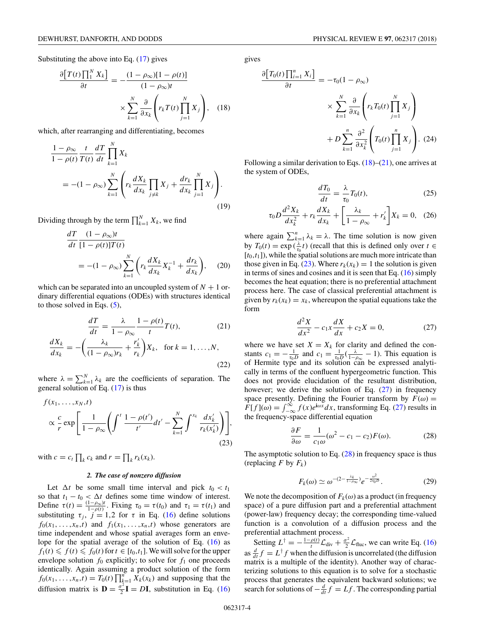<span id="page-3-0"></span>Substituting the above into Eq. [\(17\)](#page-2-0) gives

$$
\frac{\partial [T(t) \prod_{1}^{N} X_{k}]}{\partial t} = -\frac{(1 - \rho_{\infty})[1 - \rho(t)]}{(1 - \rho_{\infty})t} \times \sum_{k=1}^{N} \frac{\partial}{\partial x_{k}} \left( r_{k} T(t) \prod_{j=1}^{N} X_{j} \right), \quad (18)
$$

which, after rearranging and differentiating, becomes

$$
\frac{1-\rho_{\infty}}{1-\rho(t)}\frac{t}{T(t)}\frac{dT}{dt}\prod_{k=1}^{N}X_{k}
$$
\n
$$
=-(1-\rho_{\infty})\sum_{k=1}^{N}\left(r_{k}\frac{dX_{k}}{dx_{k}}\prod_{j\neq k}X_{j}+\frac{dr_{k}}{dx_{k}}\prod_{j=1}^{N}X_{j}\right).
$$
\n(19)

Dividing through by the term  $\prod_{k=1}^{N} X_k$ , we find

$$
\frac{dT}{dt} \frac{(1 - \rho_{\infty})t}{[1 - \rho(t)]T(t)}
$$
\n
$$
= -(1 - \rho_{\infty}) \sum_{k=1}^{N} \left( r_k \frac{dX_k}{dx_k} X_k^{-1} + \frac{dr_k}{dx_k} \right), \quad (20)
$$

which can be separated into an uncoupled system of  $N + 1$  ordinary differential equations (ODEs) with structures identical to those solved in Eqs.  $(5)$ ,

$$
\frac{dT}{dt} = \frac{\lambda}{1 - \rho_{\infty}} \frac{1 - \rho(t)}{t} T(t),\tag{21}
$$

$$
\frac{dX_k}{dx_k} = -\left(\frac{\lambda_k}{(1-\rho_\infty)r_k} + \frac{r'_k}{r_k}\right)X_k, \text{ for } k = 1, \dots, N,
$$
\n(22)

where  $\lambda = \sum_{k=1}^{N} \lambda_k$  are the coefficients of separation. The general solution of Eq. [\(17\)](#page-2-0) is thus

$$
f(x_1, \ldots, x_N, t)
$$
  

$$
\propto \frac{c}{r} \exp\left[\frac{1}{1-\rho_{\infty}}\left(\int^t \frac{1-\rho(t')}{t'}dt' - \sum_{k=1}^N \int^{x_k} \frac{dx'_k}{r_k(x'_k)}\right)\right],
$$
(23)

with  $c = c_t \prod_k c_k$  and  $r = \prod_k r_k(x_k)$ .

## *2. The case of nonzero diffusion*

Let  $\Delta t$  be some small time interval and pick  $t_0 < t_1$ so that  $t_1 - t_0 < \Delta t$  defines some time window of interest. Define  $\tau(t) = \frac{(1-\rho_{\infty})t}{1-\rho(t)}$ . Fixing  $\tau_0 = \tau(t_0)$  and  $\tau_1 = \tau(t_1)$  and substituting  $\tau_j$ ,  $j = 1,2$  for  $\tau$  in Eq. [\(16\)](#page-2-0) define solutions  $f_0(x_1, \ldots, x_n, t)$  and  $f_1(x_1, \ldots, x_n, t)$  whose generators are time independent and whose spatial averages form an envelope for the spatial average of the solution of Eq. [\(16\)](#page-2-0) as  $f_1(t) \leq f(t) \leq f_0(t)$  for  $t \in [t_0, t_1]$ . We will solve for the upper envelope solution  $f_0$  explicitly; to solve for  $f_1$  one proceeds identically. Again assuming a product solution of the form  $f_0(x_1, \ldots, x_n, t) = T_0(t) \prod_{k=1}^n X_k(x_k)$  and supposing that the diffusion matrix is  $\mathbf{D} = \frac{\sigma^2}{2}\mathbf{I} = D\mathbf{I}$ , substitution in Eq. [\(16\)](#page-2-0) gives

$$
\frac{\partial [T_0(t) \prod_{i=1}^n X_i]}{\partial t} = -\tau_0 (1 - \rho_\infty)
$$

$$
\times \sum_{k=1}^N \frac{\partial}{\partial x_k} \left( r_k T_0(t) \prod_{j=1}^N X_j \right)
$$

$$
+ D \sum_{k=1}^n \frac{\partial^2}{\partial x_k^2} \left( T_0(t) \prod_{j=1}^n X_j \right). (24)
$$

Following a similar derivation to Eqs. (18)–(21), one arrives at the system of ODEs,

$$
\frac{dT_0}{dt} = \frac{\lambda}{\tau_0} T_0(t),\tag{25}
$$

$$
\tau_0 D \frac{d^2 X_k}{dx_k^2} + r_k \frac{dX_k}{dx_k} + \left[ \frac{\lambda_k}{1 - \rho_\infty} + r'_k \right] X_k = 0, \quad (26)
$$

where again  $\sum_{k=1}^{n} \lambda_k = \lambda$ . The time solution is now given by  $T_0(t) = \exp(\frac{\lambda}{\tau_0}t)$  (recall that this is defined only over  $t \in$  $[t_0,t_1]$ , while the spatial solutions are much more intricate than those given in Eq. (23). Where  $r_k(x_k) = 1$  the solution is given in terms of sines and cosines and it is seen that Eq. [\(16\)](#page-2-0) simply becomes the heat equation; there is no preferential attachment process here. The case of classical preferential attachment is given by  $r_k(x_k) = x_k$ , whereupon the spatial equations take the form

$$
\frac{d^2X}{dx^2} - c_1 x \frac{dX}{dx} + c_2 X = 0,
$$
 (27)

where we have set  $X = X_k$  for clarity and defined the constants  $c_1 = -\frac{1}{\tau_0 D}$  and  $c_1 = \frac{1}{\tau_0 D} (\frac{\lambda}{1-\rho_{\infty}} - 1)$ . This equation is of Hermite type and its solution can be expressed analytically in terms of the confluent hypergeometric function. This does not provide elucidation of the resultant distribution, however; we derive the solution of Eq. (27) in frequency space presently. Defining the Fourier transform by  $F(\omega) =$  $F[f](\omega) = \int_{-\infty}^{\infty} f(x)e^{i\omega x} dx$ , transforming Eq. (27) results in the frequency-space differential equation

$$
\frac{\partial F}{\partial \omega} = \frac{1}{c_1 \omega} (\omega^2 - c_1 - c_2) F(\omega).
$$
 (28)

The asymptotic solution to Eq.  $(28)$  in frequency space is thus (replacing  $F$  by  $F_k$ )

$$
F_k(\omega) \simeq \omega^{-(2-\frac{\lambda_k}{1-\rho_{\infty}})} e^{-\frac{\omega^2}{2\tau_0 D}}.
$$
 (29)

We note the decomposition of  $F_k(\omega)$  as a product (in frequency space) of a pure diffusion part and a preferential attachment (power-law) frequency decay; the corresponding time-valued function is a convolution of a diffusion process and the preferential attachment process.

Setting  $L^{\dagger} = -\frac{1-\rho(t)}{t}\mathcal{L}_{div} + \frac{\sigma^2}{2}\mathcal{L}_{fluc}$ , we can write Eq. [\(16\)](#page-2-0) as  $\frac{d}{dt}f = L^{\dagger}f$  when the diffusion is uncorrelated (the diffusion matrix is a multiple of the identity). Another way of characterizing solutions to this equation is to solve for a stochastic process that generates the equivalent backward solutions; we search for solutions of  $-\frac{d}{dt}f = Lf$ . The corresponding partial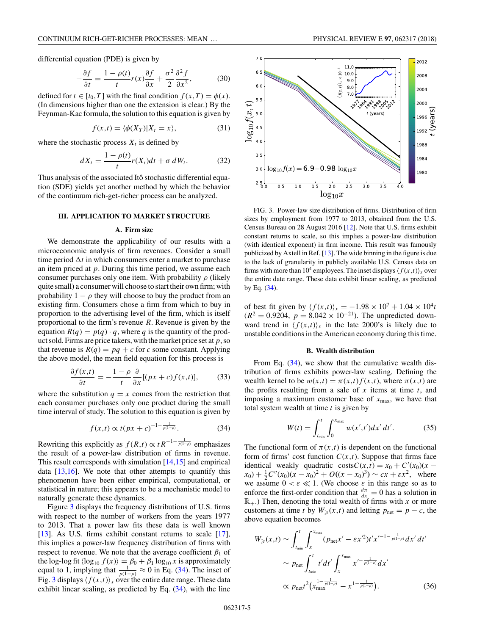<span id="page-4-0"></span>differential equation (PDE) is given by

$$
-\frac{\partial f}{\partial t} = \frac{1 - \rho(t)}{t} r(x) \frac{\partial f}{\partial x} + \frac{\sigma^2}{2} \frac{\partial^2 f}{\partial x^2},
$$
(30)

defined for  $t \in [t_0, T]$  with the final condition  $f(x,T) = \phi(x)$ . (In dimensions higher than one the extension is clear.) By the Feynman-Kac formula, the solution to this equation is given by

$$
f(x,t) = \langle \phi(X_T) | X_t = x \rangle, \tag{31}
$$

where the stochastic process  $X_t$  is defined by

$$
dX_t = \frac{1 - \rho(t)}{t} r(X_t) dt + \sigma dW_t.
$$
 (32)

Thus analysis of the associated Itô stochastic differential equation (SDE) yields yet another method by which the behavior of the continuum rich-get-richer process can be analyzed.

## **III. APPLICATION TO MARKET STRUCTURE**

#### **A. Firm size**

We demonstrate the applicability of our results with a microeconomic analysis of firm revenues. Consider a small time period  $\Delta t$  in which consumers enter a market to purchase an item priced at *p*. During this time period, we assume each consumer purchases only one item. With probability  $\rho$  (likely quite small) a consumer will choose to start their own firm; with probability  $1 - \rho$  they will choose to buy the product from an existing firm. Consumers chose a firm from which to buy in proportion to the advertising level of the firm, which is itself proportional to the firm's revenue *R*. Revenue is given by the equation  $R(q) = p(q) \cdot q$ , where *q* is the quantity of the product sold. Firms are price takers, with the market price set at*p*, so that revenue is  $R(q) = pq + c$  for *c* some constant. Applying the above model, the mean field equation for this process is

$$
\frac{\partial f(x,t)}{\partial t} = -\frac{1-\rho}{t} \frac{\partial}{\partial x} [(px+c)f(x,t)],\tag{33}
$$

where the substitution  $q = x$  comes from the restriction that each consumer purchases only one product during the small time interval of study. The solution to this equation is given by

$$
f(x,t) \propto t(px + c)^{-1 - \frac{1}{p(1-\rho)}}
$$
. (34)

Rewriting this explicitly as  $f(R,t) \propto tR^{-1-\frac{1}{p(1-\rho)}}$  emphasizes the result of a power-law distribution of firms in revenue. This result corresponds with simulation  $[14,15]$  and empirical data  $[13,16]$ . We note that other attempts to quantify this phenomenon have been either empirical, computational, or statistical in nature; this appears to be a mechanistic model to naturally generate these dynamics.

Figure 3 displays the frequency distributions of U.S. firms with respect to the number of workers from the years 1977 to 2013. That a power law fits these data is well known [\[13\]](#page-6-0). As U.S. firms exhibit constant returns to scale [\[17\]](#page-6-0), this implies a power-law frequency distribution of firms with respect to revenue. We note that the average coefficient  $\beta_1$  of the log-log fit  $\langle \log_{10} f(x) \rangle = \beta_0 + \beta_1 \log_{10} x$  is approximately equal to 1, implying that  $\frac{1}{p(1-\rho)} \approx 0$  in Eq. (34). The inset of Fig. 3 displays  $\langle f(x,t) \rangle_x$  over the entire date range. These data exhibit linear scaling, as predicted by Eq. (34), with the line



FIG. 3. Power-law size distribution of firms. Distribution of firm sizes by employment from 1977 to 2013, obtained from the U.S. Census Bureau on 28 August 2016 [\[12\]](#page-5-0). Note that U.S. firms exhibit constant returns to scale, so this implies a power-law distribution (with identical exponent) in firm income. This result was famously publicized by Axtell in Ref. [\[13\]](#page-6-0). The wide binning in the figure is due to the lack of granularity in publicly available U.S. Census data on firms with more than 10<sup>4</sup> employees. The inset displays  $\langle f(x,t) \rangle_x$  over the entire date range. These data exhibit linear scaling, as predicted by Eq.  $(34)$ .

of best fit given by  $\langle f(x,t) \rangle_x = -1.98 \times 10^7 + 1.04 \times 10^4 t$  $(R^{2} = 0.9204, p = 8.042 \times 10^{-21})$ . The unpredicted downward trend in  $\langle f(x,t) \rangle_x$  in the late 2000's is likely due to unstable conditions in the American economy during this time.

#### **B. Wealth distribution**

From Eq.  $(34)$ , we show that the cumulative wealth distribution of firms exhibits power-law scaling. Defining the wealth kernel to be  $w(x,t) = \pi(x,t) f(x,t)$ , where  $\pi(x,t)$  are the profits resulting from a sale of *x* items at time *t*, and imposing a maximum customer base of  $x_{\text{max}}$ , we have that total system wealth at time *t* is given by

$$
W(t) = \int_{t_{\min}}^{t} \int_{0}^{x_{\max}} w(x', t') dx' dt'.
$$
 (35)

The functional form of  $\pi(x,t)$  is dependent on the functional form of firms' cost function  $C(x,t)$ . Suppose that firms face identical weakly quadratic costs $C(x,t) = x_0 + C'(x_0)(x$  $f(x_0) + \frac{1}{2}C''(x_0)(x - x_0)^2 + O((x - x_0)^3) \sim cx + \varepsilon x^2$ , where we assume  $0 < \varepsilon \ll 1$ . (We choose  $\varepsilon$  in this range so as to enforce the first-order condition that  $\frac{d\pi}{dx} = 0$  has a solution in  $\mathbb{R}_+$ .) Then, denoting the total wealth of firms with *x* or more customers at time *t* by  $W_{\geq}(x,t)$  and letting  $p_{\text{net}} = p - c$ , the above equation becomes

$$
W_{\geq}(x,t) \sim \int_{t_{\min}}^{t} \int_{x}^{x_{\max}} (p_{\text{net}}x' - \varepsilon x'^{2}) t' x'^{-1 - \frac{1}{p(1-\rho)}} dx' dt'
$$
  
 
$$
\sim p_{\text{net}} \int_{t_{\min}}^{t} t' dt' \int_{x}^{x_{\max}} x'^{-\frac{1}{p(1-\rho)}} dx'
$$
  
 
$$
\propto p_{\text{net}} t^{2} (x_{\max}^{1-\frac{1}{p(1-\rho)}} - x^{1-\frac{1}{p(1-\rho)}}).
$$
 (36)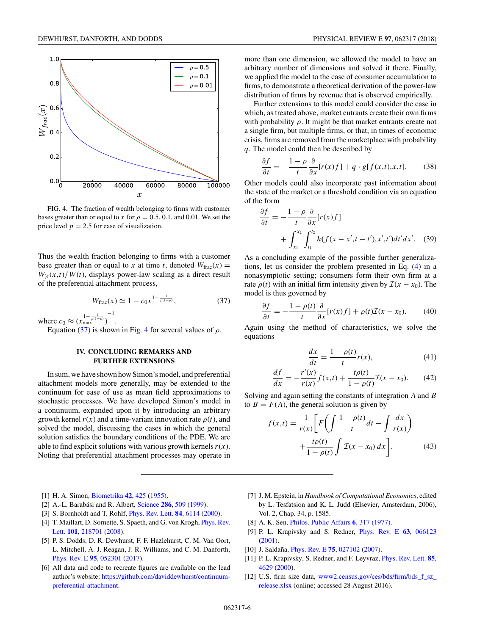<span id="page-5-0"></span>

FIG. 4. The fraction of wealth belonging to firms with customer bases greater than or equal to *x* for  $\rho = 0.5, 0.1$ , and 0.01. We set the price level  $p = 2.5$  for ease of visualization.

Thus the wealth fraction belonging to firms with a customer base greater than or equal to *x* at time *t*, denoted  $W_{\text{frac}}(x) =$  $W_{\geq}(x,t)/W(t)$ , displays power-law scaling as a direct result of the preferential attachment process,

$$
W_{\text{frac}}(x) \simeq 1 - c_0 x^{1 - \frac{1}{p(1 - \rho)}},\tag{37}
$$

where  $c_0 \approx (\chi_{\text{max}}^{1-\frac{1}{p(1-\rho)}})$ −1

Equation (37) is shown in Fig. 4 for several values of  $\rho$ .

.

# **IV. CONCLUDING REMARKS AND FURTHER EXTENSIONS**

In sum, we have shown how Simon's model, and preferential attachment models more generally, may be extended to the continuum for ease of use as mean field approximations to stochastic processes. We have developed Simon's model in a continuum, expanded upon it by introducing an arbitrary growth kernel  $r(x)$  and a time-variant innovation rate  $\rho(t)$ , and solved the model, discussing the cases in which the general solution satisfies the boundary conditions of the PDE. We are able to find explicit solutions with various growth kernels  $r(x)$ . Noting that preferential attachment processes may operate in

- [1] H. A. Simon, [Biometrika](https://doi.org/10.1093/biomet/42.3-4.425) **[42](https://doi.org/10.1093/biomet/42.3-4.425)**, [425](https://doi.org/10.1093/biomet/42.3-4.425) [\(1955\)](https://doi.org/10.1093/biomet/42.3-4.425).
- [2] A.-L. Barabási and R. Albert, [Science](https://doi.org/10.1126/science.286.5439.509) **[286](https://doi.org/10.1126/science.286.5439.509)**, [509](https://doi.org/10.1126/science.286.5439.509) [\(1999\)](https://doi.org/10.1126/science.286.5439.509).
- [3] S. Bornholdt and T. Rohlf, [Phys. Rev. Lett.](https://doi.org/10.1103/PhysRevLett.84.6114) **[84](https://doi.org/10.1103/PhysRevLett.84.6114)**, [6114](https://doi.org/10.1103/PhysRevLett.84.6114) [\(2000\)](https://doi.org/10.1103/PhysRevLett.84.6114).
- [4] [T. Maillart, D. Sornette, S. Spaeth, and G. von Krogh,](https://doi.org/10.1103/PhysRevLett.101.218701) *Phys. Rev.* Lett. **[101](https://doi.org/10.1103/PhysRevLett.101.218701)**, [218701](https://doi.org/10.1103/PhysRevLett.101.218701) [\(2008\)](https://doi.org/10.1103/PhysRevLett.101.218701).
- [5] P. S. Dodds, D. R. Dewhurst, F. F. Hazlehurst, C. M. Van Oort, L. Mitchell, A. J. Reagan, J. R. Williams, and C. M. Danforth, [Phys. Rev. E](https://doi.org/10.1103/PhysRevE.95.052301) **[95](https://doi.org/10.1103/PhysRevE.95.052301)**, [052301](https://doi.org/10.1103/PhysRevE.95.052301) [\(2017\)](https://doi.org/10.1103/PhysRevE.95.052301).
- [6] All data and code to recreate figures are available on the lead author's website: [https://github.com/daviddewhurst/continuum](https://github.com/daviddewhurst/continuum-preferential-attachment)preferential-attachment.

more than one dimension, we allowed the model to have an arbitrary number of dimensions and solved it there. Finally, we applied the model to the case of consumer accumulation to firms, to demonstrate a theoretical derivation of the power-law distribution of firms by revenue that is observed empirically.

Further extensions to this model could consider the case in which, as treated above, market entrants create their own firms with probability  $\rho$ . It might be that market entrants create not a single firm, but multiple firms, or that, in times of economic crisis, firms are removed from the marketplace with probability *q*. The model could then be described by

$$
\frac{\partial f}{\partial t} = -\frac{1-\rho}{t} \frac{\partial}{\partial x} [r(x)f] + q \cdot g[f(x,t),x,t]. \tag{38}
$$

Other models could also incorporate past information about the state of the market or a threshold condition via an equation of the form

$$
\frac{\partial f}{\partial t} = -\frac{1-\rho}{t} \frac{\partial}{\partial x} [r(x)f] \n+ \int_{x_1}^{x_2} \int_{t_1}^{t_2} h(f(x - x', t - t'), x', t') dt' dx'. \quad (39)
$$

As a concluding example of the possible further generalizations, let us consider the problem presented in Eq. [\(4\)](#page-1-0) in a nonasymptotic setting; consumers form their own firm at a rate  $\rho(t)$  with an initial firm intensity given by  $\mathcal{I}(x - x_0)$ . The model is thus governed by

$$
\frac{\partial f}{\partial t} = -\frac{1 - \rho(t)}{t} \frac{\partial}{\partial x} [r(x)f] + \rho(t) \mathcal{I}(x - x_0). \tag{40}
$$

Again using the method of characteristics, we solve the equations

$$
\frac{dx}{dt} = \frac{1 - \rho(t)}{t} r(x),\tag{41}
$$

$$
\frac{df}{dx} = -\frac{r'(x)}{r(x)}f(x,t) + \frac{t\rho(t)}{1 - \rho(t)}\mathcal{I}(x - x_0).
$$
 (42)

Solving and again setting the constants of integration *A* and *B* to  $B = F(A)$ , the general solution is given by

$$
f(x,t) = \frac{1}{r(x)} \left[ F\left(\int \frac{1-\rho(t)}{t} dt - \int \frac{dx}{r(x)} \right) + \frac{t\rho(t)}{1-\rho(t)} \int \mathcal{I}(x-x_0) dx \right].
$$
 (43)

- [7] J. M. Epstein, in *Handbook of Computational Economics*, edited by L. Tesfatsion and K. L. Judd (Elsevier, Amsterdam, 2006), Vol. 2, Chap. 34, p. 1585.
- [8] A. K. Sen, [Philos. Public Affairs](http://www.jstor.org/stable/2264946) **6**, 317 (1977).
- [9] P. L. Krapivsky and S. Redner, [Phys. Rev. E](https://doi.org/10.1103/PhysRevE.63.066123) **[63](https://doi.org/10.1103/PhysRevE.63.066123)**, [066123](https://doi.org/10.1103/PhysRevE.63.066123) [\(2001\)](https://doi.org/10.1103/PhysRevE.63.066123).
- [10] J. Saldaña, [Phys. Rev. E](https://doi.org/10.1103/PhysRevE.75.027102) **[75](https://doi.org/10.1103/PhysRevE.75.027102)**, [027102](https://doi.org/10.1103/PhysRevE.75.027102) [\(2007\)](https://doi.org/10.1103/PhysRevE.75.027102).
- [11] P. L. Krapivsky, S. Redner, and F. Leyvraz, [Phys. Rev. Lett.](https://doi.org/10.1103/PhysRevLett.85.4629) **[85](https://doi.org/10.1103/PhysRevLett.85.4629)**, [4629](https://doi.org/10.1103/PhysRevLett.85.4629) [\(2000\)](https://doi.org/10.1103/PhysRevLett.85.4629).
- [12] U.S. firm size data, [www2.census.gov/ces/bds/firm/bds\\_f\\_sz\\_](http://www2.census.gov/ces/bds/firm/bds_f_sz_release.xlsx) release.xlsx (online; accessed 28 August 2016).